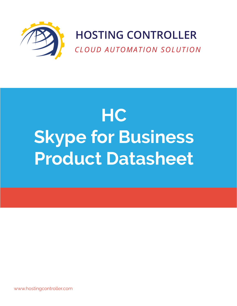

# **HOSTING CONTROLLER**

*CLOUD AUTOMATION SOLUTION*

# **HC Skype for Business Product Datasheet**

[www.hostingcontroller.com](http://www.hostingcontroller.com)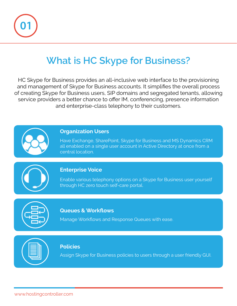

# **What is HC Skype for Business?**

HC Skype for Business provides an all-inclusive web interface to the provisioning and management of Skype for Business accounts. It simplifies the overall process of creating Skype for Business users, SIP domains and segregated tenants, allowing service providers a better chance to offer IM, conferencing, presence information and enterprise-class telephony to their customers.



### **Organization Users**

Have Exchange, SharePoint, Skype for Business and MS Dynamics CRM all enabled on a single user account in Active Directory at once from a central location.

### **Enterprise Voice**

Enable various telephony options on a Skype for Business user yourself through HC zero touch self-care portal.



### **Queues & Workflows**

Manage Workflows and Response Queues with ease.

### **Policies**

Assign Skype for Business policies to users through a user friendly GUI.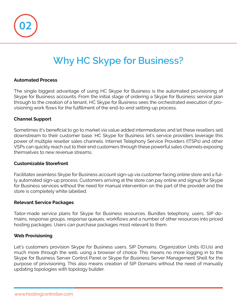

# **Why HC Skype for Business?**

### **Automated Process**

The single biggest advantage of using HC Skype for Business is the automated provisioning of Skype for Business accounts. From the initial stage of ordering a Skype for Business service plan through to the creation of a tenant, HC Skype for Business sees the orchestrated execution of provisioning work flows for the fulfillment of the end-to-end setting-up process.

#### **Channel Support**

Sometimes it's beneficial to go to market via value added intermediaries and let these resellers sell downstream to their customer base. HC Skype for Business let's service providers leverage this power of multiple reseller sales channels. Internet Telephony Service Providers (ITSPs) and other VSPs can quickly reach out to their end customers through these powerful sales channels exposing themselves to new revenue streams.

#### **Customizable Storefront**

Facilitates seamless Skype for Business account sign-up via customer facing online store and a fully automated sign-up process. Customers arriving at the store can pay online and signup for Skype for Business services without the need for manual intervention on the part of the provider and the store is completely white labelled.

### **Relevant Service Packages**

Tailor-made service plans for Skype for Business resources. Bundles telephony, users, SIP domains, response groups, response queues, workflows and a number of other resources into priced hosting packages. Users can purchase packages most relevant to them.

#### **Web Provisioning**

Let's customers provision Skype for Business users, SIP Domains, Organization Units (O.Us) and much more through the web, using a browser of choice. This means no more logging in to the Skype for Business Server Control Panel or Skype for Business Server Management Shell for the purpose of provisioning. This also means creation of SIP Domains without the need of manually updating topologies with topology builder.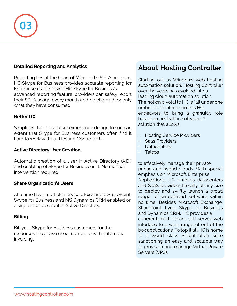

### **Detailed Reporting and Analytics**

Reporting lies at the heart of Microsoft's SPLA program. HC Skype for Business provides accurate reporting for Enterprise usage. Using HC Skype for Business's advanced reporting feature, providers can safely report their SPLA usage every month and be charged for only what they have consumed.

### **Better UX**

Simplifies the overall user experience design to such an extent that Skype for Business customers often find it hard to work without Hosting Controller UI.

#### **Active Directory User Creation**

Automatic creation of a user in Active Directory (A.D.) and enabling of Skype for Business on it. No manual intervention required.

### **Share Organization's Users**

At a time have multiple services, Exchange, SharePoint, Skype for Business and MS Dynamics CRM enabled on a single user account in Active Directory.

### **Billing**

Bill your Skype for Business customers for the resources they have used, complete with automatic invoicing.

### **About Hosting Controller**

Starting out as Windows web hosting automation solution, Hosting Controller over the years has evolved into a leading cloud automation solution. The notion pivotal to HC is "all under one umbrella". Centered on this HC endeavors to bring a granular, role based orchestration software. A solution that allows:

- Hosting Service Providers
- Saas Providers
- Datacenters
- Telcos

to effectively manage their private, public and hybrid clouds. With special emphasis on Microsoft Enterprise Applications, HC enables datacenters and SaaS providers literally of any size to deploy and swiftly launch a broad range of on-demand software within no time. Besides Microsoft Exchange, SharePoint, Lync, Skype for Business and Dynamics CRM, HC provides a coherent, multi-tenant, self-served web interface to a wide range of out of the box applications. To top it all,HC is home to a world class Virtualization suite sanctioning an easy and scalable way to provision and manage Virtual Private Servers (VPS).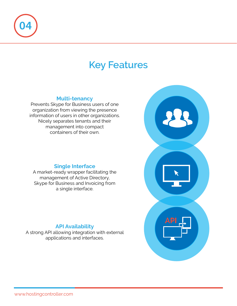

# **Key Features**

### **Multi-tenancy**

Prevents Skype for Business users of one organization from viewing the presence information of users in other organizations. Nicely separates tenants and their management into compact containers of their own.

### **Single Interface**

A market-ready wrapper facilitating the management of Active Directory, Skype for Business and Invoicing from a single interface.

### **API Availability**

A strong API allowing integration with external applications and interfaces.

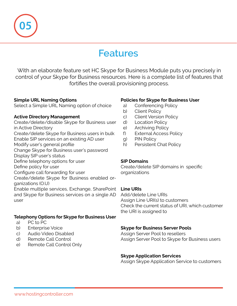

# **Features**

With an elaborate feature set HC Skype for Business Module puts you precisely in control of your Skype for Business resources. Here is a complete list of features that fortifies the overall provisioning process.

### **Simple URL Naming Options**

Select a Simple URL Naming option of choice

### **Active Directory Management**

Create/delete/disable Skype for Business user in Active Directory

Create/delete Skype for Business users in bulk Enable SIP services on an existing AD user

Modify user's general profile

Change Skype for Business user's password

Display SIP user's status

Define telephony options for user

Define policy for user

Configure call forwarding for user

Create/delete Skype for Business enabled organizations (O.U)

Enable multiple services, Exchange, SharePoint and Skype for Business services on a single AD user

### **Telephony Options for Skype for Business User**

- a) PC to PC
- b) Enterprise Voice
- c) Audio Video Disabled
- d) Remote Call Control
- e) Remote Call Control Only

### **Policies for Skype for Business User**

- a) Conferencing Policy
- b) Client Policy
- c) Client Version Policy
- d) Location Policy
- e) Archiving Policy
- f) External Access Policy
- g) PIN Policy
- h) Persistent Chat Policy

### **SIP Domains**

Create/delete SIP domains in specific organizations

### **Line URIs**

Add/delete Line URIs Assign Line URI(s) to customers Check the current status of URI, which customer the URI is assigned to

### **Skype for Business Server Pools**

Assign Server Pool to resellers Assign Server Pool to Skype for Business users

### **Skype Application Services**

Assign Skype Application Service to customers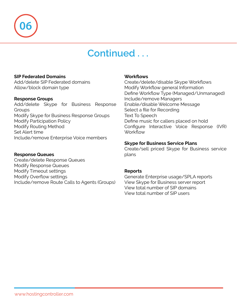

# **Continued . . .**

### **SIP Federated Domains**

Add/delete SIP Federated domains Allow/block domain type

### **Response Groups**

Add/delete Skype for Business Response **Groups** Modify Skype for Business Response Groups Modify Participation Policy Modify Routing Method Set Alert time Include/remove Enterprise Voice members

### **Response Queues**

Create/delete Response Queues Modify Response Queues Modify Timeout settings Modify Overflow settings Include/remove Route Calls to Agents (Groups)

#### **Workflows**

Create/delete/disable Skype Workflows Modify Workflow general Information Define Workflow Type (Managed/Unmanaged) Include/remove Managers Enable/disable Welcome Message Select a file for Recording Text To Speech Define music for callers placed on hold Configure Interactive Voice Response (IVR) **Workflow** 

### **Skype for Business Service Plans**

Create/sell priced Skype for Business service plans

### **Reports**

Generate Enterprise usage/SPLA reports View Skype for Business server report View total number of SIP domains View total number of SIP users